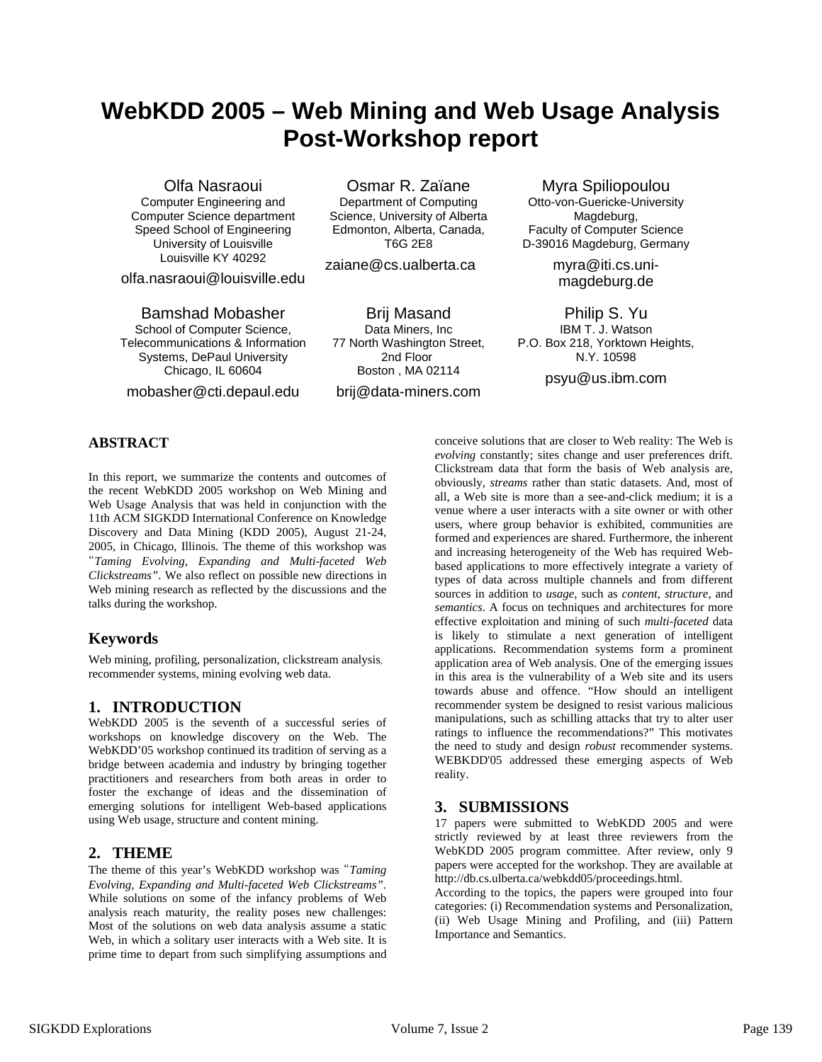# **WebKDD 2005 – Web Mining and Web Usage Analysis Post-Workshop report**

Computer Engineering and Computer Science department Speed School of Engineering University of Louisville Louisville KY 40292

olfa.nasraoui@louisville.edu

School of Computer Science, Telecommunications & Information Systems, DePaul University Chicago, IL 60604

mobasher@cti.depaul.edu

Olfa Nasraoui Osmar R. Zaïane Myra Spiliopoulou Department of Computing

Science, University of Alberta Edmonton, Alberta, Canada, T6G 2E8

zaiane@cs.ualberta.ca

Bamshad Mobasher **Brij Masand** Philip S. Yu Data Miners, Inc 77 North Washington Street, 2nd Floor Boston , MA 02114 brij@data-miners.com

Otto-von-Guericke-University Magdeburg, Faculty of Computer Science D-39016 Magdeburg, Germany

> myra@iti.cs.unimagdeburg.de

IBM T. J. Watson P.O. Box 218, Yorktown Heights, N.Y. 10598

psyu@us.ibm.com

### **ABSTRACT**

In this report, we summarize the contents and outcomes of the recent WebKDD 2005 workshop on Web Mining and Web Usage Analysis that was held in conjunction with the 11th ACM SIGKDD International Conference on Knowledge Discovery and Data Mining (KDD 2005), August 21-24, 2005, in Chicago, Illinois. The theme of this workshop was "*Taming Evolving, Expanding and Multi-faceted Web Clickstreams"*. We also reflect on possible new directions in Web mining research as reflected by the discussions and the talks during the workshop.

## **Keywords**

Web mining, profiling, personalization, clickstream analysis, recommender systems, mining evolving web data.

#### **1. INTRODUCTION**

WebKDD 2005 is the seventh of a successful series of workshops on knowledge discovery on the Web. The WebKDD'05 workshop continued its tradition of serving as a bridge between academia and industry by bringing together practitioners and researchers from both areas in order to foster the exchange of ideas and the dissemination of emerging solutions for intelligent Web-based applications using Web usage, structure and content mining.

## **2. THEME**

The theme of this year's WebKDD workshop was "*Taming Evolving, Expanding and Multi-faceted Web Clickstreams".*  While solutions on some of the infancy problems of Web analysis reach maturity, the reality poses new challenges: Most of the solutions on web data analysis assume a static Web, in which a solitary user interacts with a Web site. It is prime time to depart from such simplifying assumptions and conceive solutions that are closer to Web reality: The Web is *evolving* constantly; sites change and user preferences drift. Clickstream data that form the basis of Web analysis are, obviously, *streams* rather than static datasets. And, most of all, a Web site is more than a see-and-click medium; it is a venue where a user interacts with a site owner or with other users, where group behavior is exhibited, communities are formed and experiences are shared. Furthermore, the inherent and increasing heterogeneity of the Web has required Webbased applications to more effectively integrate a variety of types of data across multiple channels and from different sources in addition to *usage*, such as *content*, *structure*, and *semantics*. A focus on techniques and architectures for more effective exploitation and mining of such *multi-faceted* data is likely to stimulate a next generation of intelligent applications. Recommendation systems form a prominent application area of Web analysis. One of the emerging issues in this area is the vulnerability of a Web site and its users towards abuse and offence. "How should an intelligent recommender system be designed to resist various malicious manipulations, such as schilling attacks that try to alter user ratings to influence the recommendations?" This motivates the need to study and design *robust* recommender systems. WEBKDD'05 addressed these emerging aspects of Web reality.

## **3. SUBMISSIONS**

17 papers were submitted to WebKDD 2005 and were strictly reviewed by at least three reviewers from the WebKDD 2005 program committee. After review, only 9 papers were accepted for the workshop. They are available at <http://db.cs.ulberta.ca/webkdd05/proceedings.html>.

According to the topics, the papers were grouped into four categories: (i) Recommendation systems and Personalization, (ii) Web Usage Mining and Profiling, and (iii) Pattern Importance and Semantics.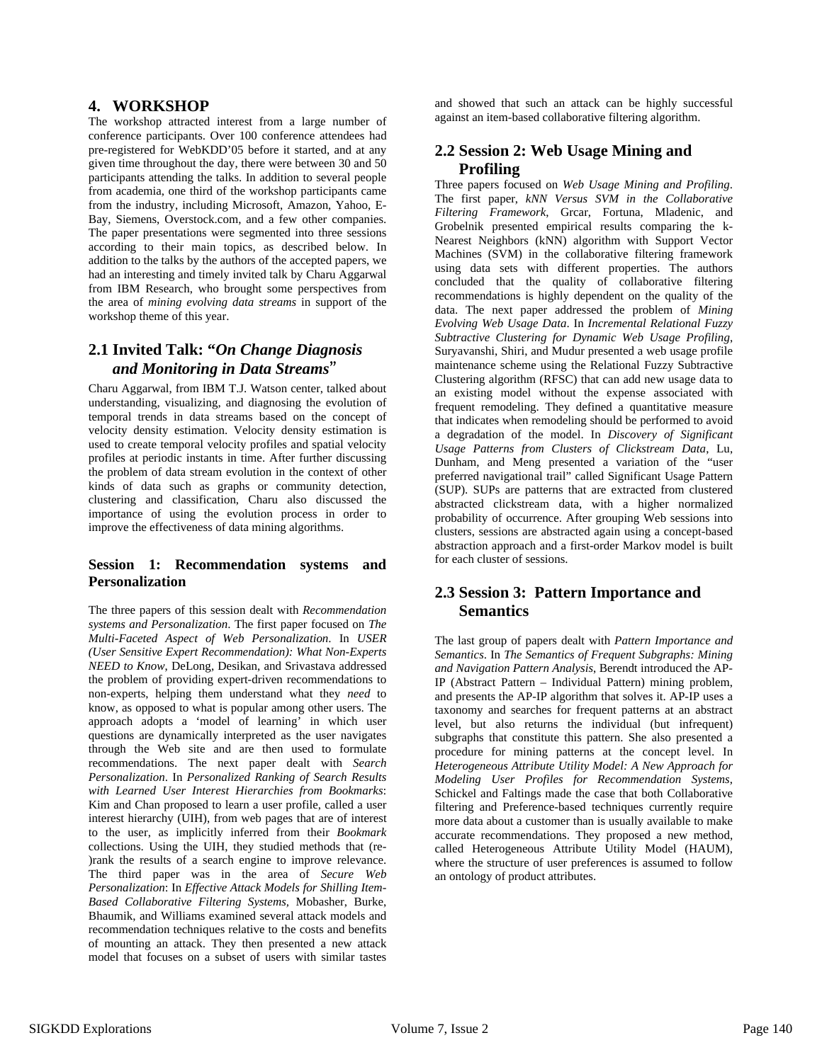#### **4. WORKSHOP**

The workshop attracted interest from a large number of conference participants. Over 100 conference attendees had pre-registered for WebKDD'05 before it started, and at any given time throughout the day, there were between 30 and 50 participants attending the talks. In addition to several people from academia, one third of the workshop participants came from the industry, including Microsoft, Amazon, Yahoo, E-Bay, Siemens, Overstock.com, and a few other companies. The paper presentations were segmented into three sessions according to their main topics, as described below. In addition to the talks by the authors of the accepted papers, we had an interesting and timely invited talk by Charu Aggarwal from IBM Research, who brought some perspectives from the area of *mining evolving data streams* in support of the workshop theme of this year.

## **2.1 Invited Talk: "***On Change Diagnosis and Monitoring in Data Streams*"

Charu Aggarwal, from IBM T.J. Watson center, talked about understanding, visualizing, and diagnosing the evolution of temporal trends in data streams based on the concept of velocity density estimation. Velocity density estimation is used to create temporal velocity profiles and spatial velocity profiles at periodic instants in time. After further discussing the problem of data stream evolution in the context of other kinds of data such as graphs or community detection, clustering and classification, Charu also discussed the importance of using the evolution process in order to improve the effectiveness of data mining algorithms.

#### **Session 1: Recommendation systems and Personalization**

The three papers of this session dealt with *Recommendation systems and Personalization*. The first paper focused on *The Multi-Faceted Aspect of Web Personalization*. In *USER (User Sensitive Expert Recommendation): What Non-Experts NEED to Know*, DeLong, Desikan, and Srivastava addressed the problem of providing expert-driven recommendations to non-experts, helping them understand what they *need* to know, as opposed to what is popular among other users. The approach adopts a 'model of learning' in which user questions are dynamically interpreted as the user navigates through the Web site and are then used to formulate recommendations. The next paper dealt with *Search Personalization*. In *Personalized Ranking of Search Results with Learned User Interest Hierarchies from Bookmarks*: Kim and Chan proposed to learn a user profile, called a user interest hierarchy (UIH), from web pages that are of interest to the user, as implicitly inferred from their *Bookmark* collections. Using the UIH, they studied methods that (re- )rank the results of a search engine to improve relevance. The third paper was in the area of *Secure Web Personalization*: In *Effective Attack Models for Shilling Item-Based Collaborative Filtering Systems,* Mobasher, Burke, Bhaumik, and Williams examined several attack models and recommendation techniques relative to the costs and benefits of mounting an attack. They then presented a new attack model that focuses on a subset of users with similar tastes

and showed that such an attack can be highly successful against an item-based collaborative filtering algorithm.

## **2.2 Session 2: Web Usage Mining and Profiling**

Three papers focused on *Web Usage Mining and Profiling*. The first paper, *kNN Versus SVM in the Collaborative Filtering Framework*, Grcar, Fortuna, Mladenic, and Grobelnik presented empirical results comparing the k-Nearest Neighbors (kNN) algorithm with Support Vector Machines (SVM) in the collaborative filtering framework using data sets with different properties. The authors concluded that the quality of collaborative filtering recommendations is highly dependent on the quality of the data. The next paper addressed the problem of *Mining Evolving Web Usage Data*. In *Incremental Relational Fuzzy Subtractive Clustering for Dynamic Web Usage Profiling*, Suryavanshi, Shiri, and Mudur presented a web usage profile maintenance scheme using the Relational Fuzzy Subtractive Clustering algorithm (RFSC) that can add new usage data to an existing model without the expense associated with frequent remodeling. They defined a quantitative measure that indicates when remodeling should be performed to avoid a degradation of the model. In *Discovery of Significant Usage Patterns from Clusters of Clickstream Data*, Lu, Dunham, and Meng presented a variation of the "user preferred navigational trail" called Significant Usage Pattern (SUP). SUPs are patterns that are extracted from clustered abstracted clickstream data, with a higher normalized probability of occurrence. After grouping Web sessions into clusters, sessions are abstracted again using a concept-based abstraction approach and a first-order Markov model is built for each cluster of sessions.

## **2.3 Session 3: Pattern Importance and Semantics**

The last group of papers dealt with *Pattern Importance and Semantics*. In *The Semantics of Frequent Subgraphs: Mining and Navigation Pattern Analysis*, Berendt introduced the AP-IP (Abstract Pattern – Individual Pattern) mining problem, and presents the AP-IP algorithm that solves it. AP-IP uses a taxonomy and searches for frequent patterns at an abstract level, but also returns the individual (but infrequent) subgraphs that constitute this pattern. She also presented a procedure for mining patterns at the concept level. In *Heterogeneous Attribute Utility Model: A New Approach for Modeling User Profiles for Recommendation Systems*, Schickel and Faltings made the case that both Collaborative filtering and Preference-based techniques currently require more data about a customer than is usually available to make accurate recommendations. They proposed a new method, called Heterogeneous Attribute Utility Model (HAUM), where the structure of user preferences is assumed to follow an ontology of product attributes.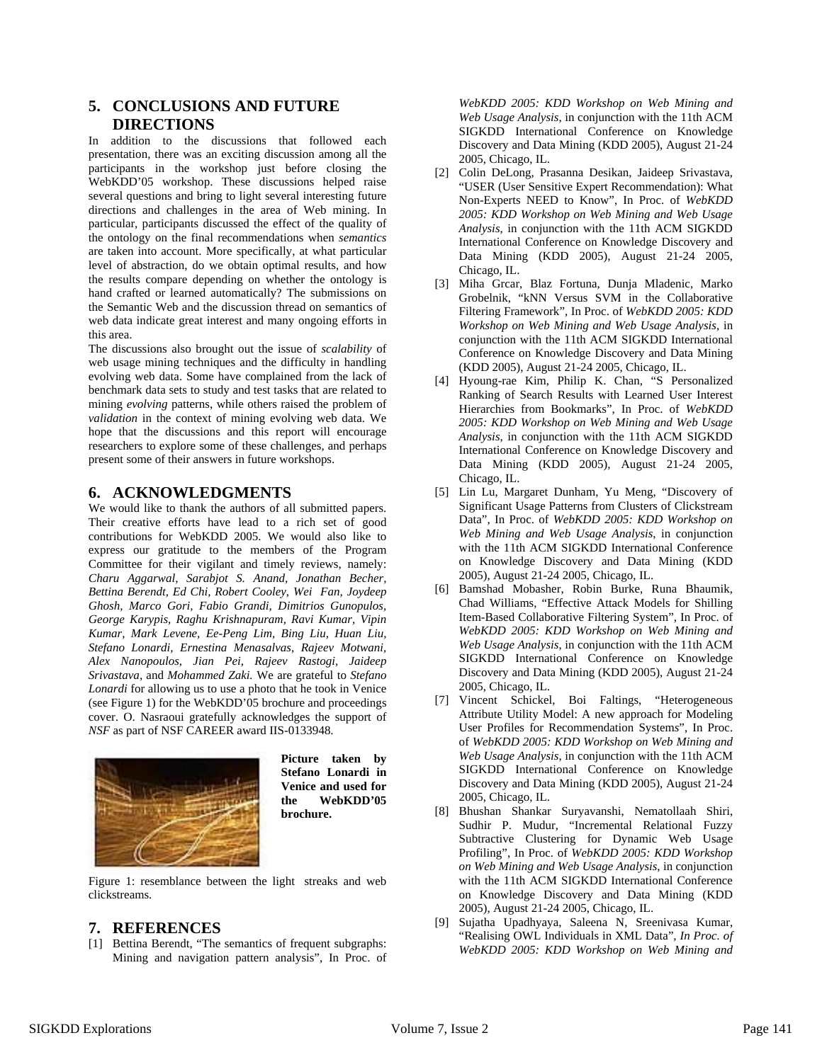### **5. CONCLUSIONS AND FUTURE DIRECTIONS**

In addition to the discussions that followed each presentation, there was an exciting discussion among all the participants in the workshop just before closing the WebKDD'05 workshop. These discussions helped raise several questions and bring to light several interesting future directions and challenges in the area of Web mining. In particular, participants discussed the effect of the quality of the ontology on the final recommendations when *semantics* are taken into account. More specifically, at what particular level of abstraction, do we obtain optimal results, and how the results compare depending on whether the ontology is hand crafted or learned automatically? The submissions on the Semantic Web and the discussion thread on semantics of web data indicate great interest and many ongoing efforts in this area.

The discussions also brought out the issue of *scalability* of web usage mining techniques and the difficulty in handling evolving web data. Some have complained from the lack of benchmark data sets to study and test tasks that are related to mining *evolving* patterns, while others raised the problem of *validation* in the context of mining evolving web data. We hope that the discussions and this report will encourage researchers to explore some of these challenges, and perhaps present some of their answers in future workshops.

#### **6. ACKNOWLEDGMENTS**

We would like to thank the authors of all submitted papers. Their creative efforts have lead to a rich set of good contributions for WebKDD 2005. We would also like to express our gratitude to the members of the Program Committee for their vigilant and timely reviews, namely: *Charu Aggarwal, Sarabjot S. Anand, Jonathan Becher, Bettina Berendt, Ed Chi, Robert Cooley, Wei Fan, Joydeep Ghosh, Marco Gori, Fabio Grandi, Dimitrios Gunopulos, George Karypis, Raghu Krishnapuram, Ravi Kumar, Vipin Kumar, Mark Levene, Ee-Peng Lim, Bing Liu, Huan Liu, Stefano Lonardi, Ernestina Menasalvas, Rajeev Motwani, Alex Nanopoulos, Jian Pei, Rajeev Rastogi, Jaideep Srivastava,* and *Mohammed Zaki.* We are grateful to *Stefano Lonardi* for allowing us to use a photo that he took in Venice (see Figure 1) for the WebKDD'05 brochure and proceedings cover. O. Nasraoui gratefully acknowledges the support of *NSF* as part of NSF CAREER award IIS-0133948.



**Picture taken by Stefano Lonardi in Venice and used for the WebKDD'05 brochure.** 

Figure 1: resemblance between the light streaks and web clickstreams.

#### **7. REFERENCES**

[1] Bettina Berendt, "The semantics of frequent subgraphs: Mining and navigation pattern analysis", In Proc. of

*WebKDD 2005: KDD Workshop on Web Mining and Web Usage Analysis*, in conjunction with the 11th ACM SIGKDD International Conference on Knowledge Discovery and Data Mining (KDD 2005), August 21-24 2005, Chicago, IL.

- [2] Colin DeLong, Prasanna Desikan, Jaideep Srivastava, "USER (User Sensitive Expert Recommendation): What Non-Experts NEED to Know", In Proc. of *WebKDD 2005: KDD Workshop on Web Mining and Web Usage Analysis*, in conjunction with the 11th ACM SIGKDD International Conference on Knowledge Discovery and Data Mining (KDD 2005), August 21-24 2005, Chicago, IL.
- [3] Miha Grcar, Blaz Fortuna, Dunja Mladenic, Marko Grobelnik, "kNN Versus SVM in the Collaborative Filtering Framework", In Proc. of *WebKDD 2005: KDD Workshop on Web Mining and Web Usage Analysis*, in conjunction with the 11th ACM SIGKDD International Conference on Knowledge Discovery and Data Mining (KDD 2005), August 21-24 2005, Chicago, IL.
- [4] Hyoung-rae Kim, Philip K. Chan, "S Personalized Ranking of Search Results with Learned User Interest Hierarchies from Bookmarks", In Proc. of *WebKDD 2005: KDD Workshop on Web Mining and Web Usage Analysis*, in conjunction with the 11th ACM SIGKDD International Conference on Knowledge Discovery and Data Mining (KDD 2005), August 21-24 2005, Chicago, IL.
- [5] Lin Lu, Margaret Dunham, Yu Meng, "Discovery of Significant Usage Patterns from Clusters of Clickstream Data", In Proc. of *WebKDD 2005: KDD Workshop on Web Mining and Web Usage Analysis*, in conjunction with the 11th ACM SIGKDD International Conference on Knowledge Discovery and Data Mining (KDD 2005), August 21-24 2005, Chicago, IL.
- [6] Bamshad Mobasher, Robin Burke, Runa Bhaumik, Chad Williams, "Effective Attack Models for Shilling Item-Based Collaborative Filtering System", In Proc. of *WebKDD 2005: KDD Workshop on Web Mining and Web Usage Analysis*, in conjunction with the 11th ACM SIGKDD International Conference on Knowledge Discovery and Data Mining (KDD 2005), August 21-24 2005, Chicago, IL.
- [7] Vincent Schickel, Boi Faltings, "Heterogeneous Attribute Utility Model: A new approach for Modeling User Profiles for Recommendation System*s*", In Proc. of *WebKDD 2005: KDD Workshop on Web Mining and Web Usage Analysis*, in conjunction with the 11th ACM SIGKDD International Conference on Knowledge Discovery and Data Mining (KDD 2005), August 21-24 2005, Chicago, IL.
- [8] Bhushan Shankar Suryavanshi, Nematollaah Shiri, Sudhir P. Mudur, "Incremental Relational Fuzzy Subtractive Clustering for Dynamic Web Usage Profiling", In Proc. of *WebKDD 2005: KDD Workshop on Web Mining and Web Usage Analysis*, in conjunction with the 11th ACM SIGKDD International Conference on Knowledge Discovery and Data Mining (KDD 2005), August 21-24 2005, Chicago, IL.
- [9] Sujatha Upadhyaya, Saleena N, Sreenivasa Kumar, "Realising OWL Individuals in XML Data"*, In Proc. of WebKDD 2005: KDD Workshop on Web Mining and*